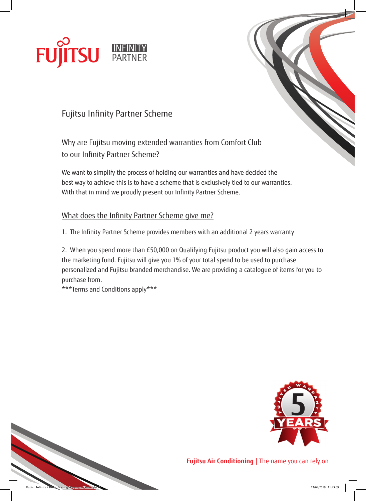



Why are Fujitsu moving extended warranties from Comfort Club to our Infinity Partner Scheme?

We want to simplify the process of holding our warranties and have decided the best way to achieve this is to have a scheme that is exclusively tied to our warranties. With that in mind we proudly present our Infinity Partner Scheme.

## What does the Infinity Partner Scheme give me?

1. The Infinity Partner Scheme provides members with an additional 2 years warranty

2. When you spend more than £50,000 on Qualifying Fujitsu product you will also gain access to the marketing fund. Fujitsu will give you 1% of your total spend to be used to purchase personalized and Fujitsu branded merchandise. We are providing a catalogue of items for you to purchase from.

\*\*\*Terms and Conditions apply\*\*\*





**Fujitsu Air Conditioning** | The name you can rely on